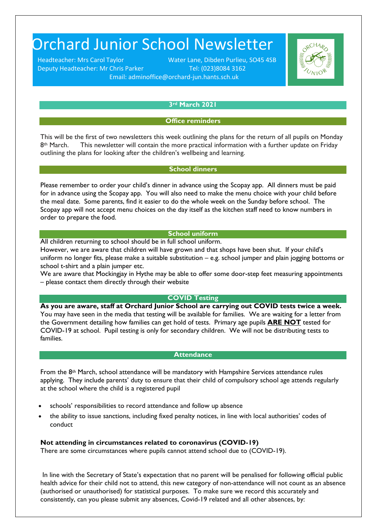# Orchard Junior School Newsletter

Deputy Headteacher: Mr Chris Parker Tel: (023)8084 3162

Headteacher: Mrs Carol Taylor Water Lane, Dibden Purlieu, SO45 4SB Email: adminoffice@orchard-jun.hants.sch.uk



# **3rd March 2021**

## **Office reminders**

This will be the first of two newsletters this week outlining the plans for the return of all pupils on Monday  $8<sup>th</sup>$  March. This newsletter will contain the more practical information with a further update on Friday outlining the plans for looking after the children's wellbeing and learning.

# **School dinners**

Please remember to order your child's dinner in advance using the Scopay app. All dinners must be paid for in advance using the Scopay app. You will also need to make the menu choice with your child before the meal date. Some parents, find it easier to do the whole week on the Sunday before school. The Scopay app will not accept menu choices on the day itself as the kitchen staff need to know numbers in order to prepare the food.

# **School uniform**

All children returning to school should be in full school uniform.

However, we are aware that children will have grown and that shops have been shut. If your child's uniform no longer fits, please make a suitable substitution – e.g. school jumper and plain jogging bottoms or school t-shirt and a plain jumper etc.

We are aware that Mockingiay in Hythe may be able to offer some door-step feet measuring appointments – please contact them directly through their website

#### **COVID Testing**

**As you are aware, staff at Orchard Junior School are carrying out COVID tests twice a week.**  You may have seen in the media that testing will be available for families. We are waiting for a letter from the Government detailing how families can get hold of tests.Primary age pupils **ARE NOT** tested for COVID-19 at school. Pupil testing is only for secondary children. We will not be distributing tests to families.

#### **Attendance**

From the 8th March, school attendance will be mandatory with Hampshire Services attendance rules applying. They include parents' duty to ensure that their child of compulsory school age attends regularly at the school where the child is a registered pupil

- schools' responsibilities to record attendance and follow up absence
- the ability to issue sanctions, including fixed penalty notices, in line with local authorities' codes of conduct

## **Not attending in circumstances related to coronavirus (COVID-19)**

There are some circumstances where pupils cannot attend school due to (COVID-19).

In line with the Secretary of State's expectation that no parent will be penalised for following official public health advice for their child not to attend, this new category of non-attendance will not count as an absence (authorised or unauthorised) for statistical purposes. To make sure we record this accurately and consistently, can you please submit any absences, Covid-19 related and all other absences, by: